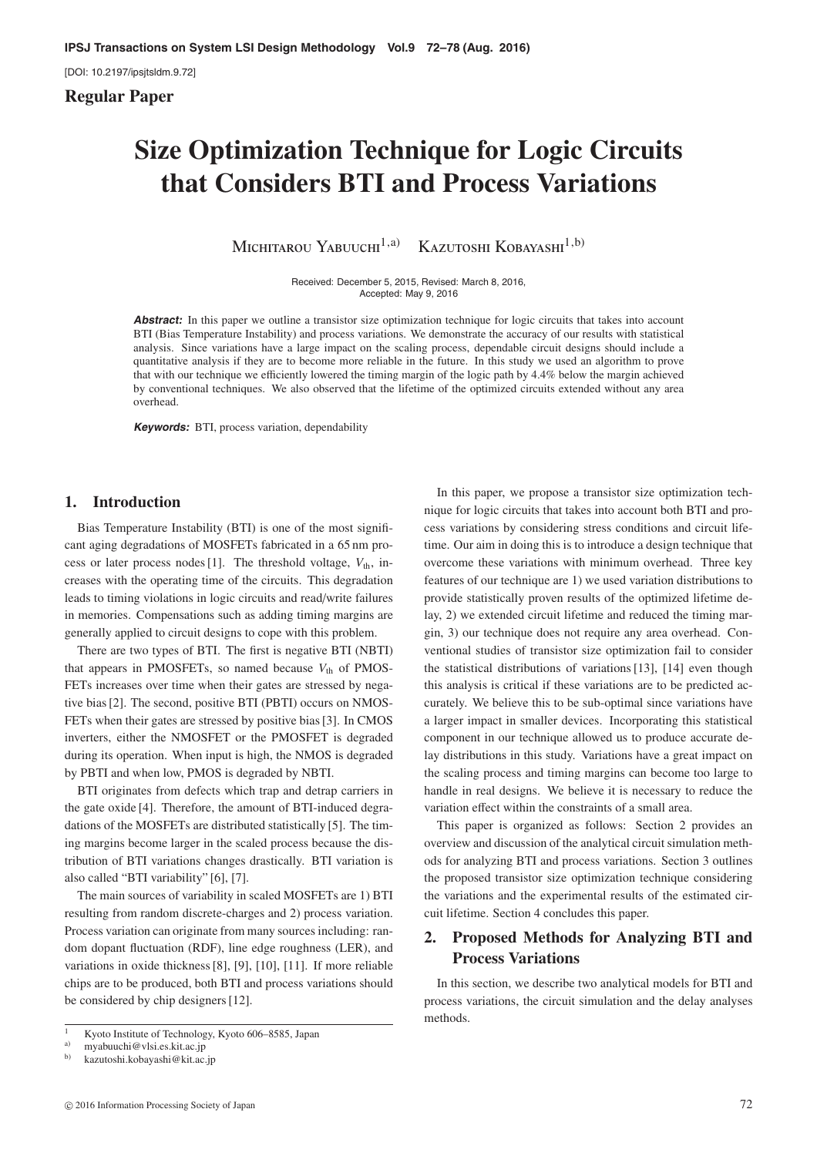[DOI: 10.2197/ipsjtsldm.9.72]

**Regular Paper**

# **Size Optimization Technique for Logic Circuits that Considers BTI and Process Variations**

Michitarou Yabuuchi<sup>1,a)</sup> Kazutoshi Kobayashi<sup>1,b)</sup>

Received: December 5, 2015, Revised: March 8, 2016, Accepted: May 9, 2016

Abstract: In this paper we outline a transistor size optimization technique for logic circuits that takes into account BTI (Bias Temperature Instability) and process variations. We demonstrate the accuracy of our results with statistical analysis. Since variations have a large impact on the scaling process, dependable circuit designs should include a quantitative analysis if they are to become more reliable in the future. In this study we used an algorithm to prove that with our technique we efficiently lowered the timing margin of the logic path by 4.4% below the margin achieved by conventional techniques. We also observed that the lifetime of the optimized circuits extended without any area overhead.

**Keywords:** BTI, process variation, dependability

## **1. Introduction**

Bias Temperature Instability (BTI) is one of the most significant aging degradations of MOSFETs fabricated in a 65 nm process or later process nodes [1]. The threshold voltage,  $V_{th}$ , increases with the operating time of the circuits. This degradation leads to timing violations in logic circuits and read/write failures in memories. Compensations such as adding timing margins are generally applied to circuit designs to cope with this problem.

There are two types of BTI. The first is negative BTI (NBTI) that appears in PMOSFETs, so named because  $V_{th}$  of PMOS-FETs increases over time when their gates are stressed by negative bias [2]. The second, positive BTI (PBTI) occurs on NMOS-FETs when their gates are stressed by positive bias [3]. In CMOS inverters, either the NMOSFET or the PMOSFET is degraded during its operation. When input is high, the NMOS is degraded by PBTI and when low, PMOS is degraded by NBTI.

BTI originates from defects which trap and detrap carriers in the gate oxide [4]. Therefore, the amount of BTI-induced degradations of the MOSFETs are distributed statistically [5]. The timing margins become larger in the scaled process because the distribution of BTI variations changes drastically. BTI variation is also called "BTI variability" [6], [7].

The main sources of variability in scaled MOSFETs are 1) BTI resulting from random discrete-charges and 2) process variation. Process variation can originate from many sources including: random dopant fluctuation (RDF), line edge roughness (LER), and variations in oxide thickness [8], [9], [10], [11]. If more reliable chips are to be produced, both BTI and process variations should be considered by chip designers [12].

In this paper, we propose a transistor size optimization technique for logic circuits that takes into account both BTI and process variations by considering stress conditions and circuit lifetime. Our aim in doing this is to introduce a design technique that overcome these variations with minimum overhead. Three key features of our technique are 1) we used variation distributions to provide statistically proven results of the optimized lifetime delay, 2) we extended circuit lifetime and reduced the timing margin, 3) our technique does not require any area overhead. Conventional studies of transistor size optimization fail to consider the statistical distributions of variations [13], [14] even though this analysis is critical if these variations are to be predicted accurately. We believe this to be sub-optimal since variations have a larger impact in smaller devices. Incorporating this statistical component in our technique allowed us to produce accurate delay distributions in this study. Variations have a great impact on the scaling process and timing margins can become too large to handle in real designs. We believe it is necessary to reduce the variation effect within the constraints of a small area.

This paper is organized as follows: Section 2 provides an overview and discussion of the analytical circuit simulation methods for analyzing BTI and process variations. Section 3 outlines the proposed transistor size optimization technique considering the variations and the experimental results of the estimated circuit lifetime. Section 4 concludes this paper.

# **2. Proposed Methods for Analyzing BTI and Process Variations**

In this section, we describe two analytical models for BTI and process variations, the circuit simulation and the delay analyses methods.

Kyoto Institute of Technology, Kyoto 606–8585, Japan

<sup>&</sup>lt;sup>a)</sup> myabuuchi@vlsi.es.kit.ac.jp<br>b) komtoobi.kohoyoobi@kit.ac

b) kazutoshi.kobayashi@kit.ac.jp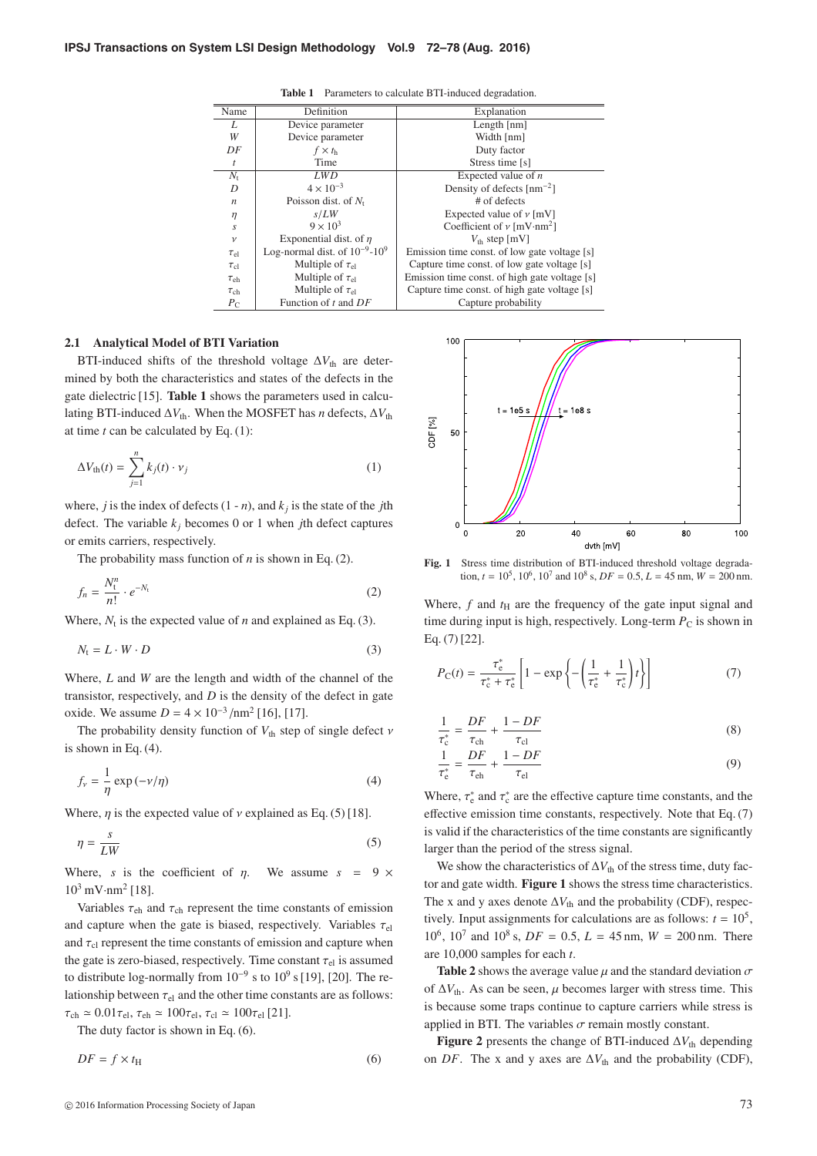| Name             | Definition                                                              | Explanation                                   |  |
|------------------|-------------------------------------------------------------------------|-----------------------------------------------|--|
| L                | Device parameter                                                        | Length $[nm]$                                 |  |
| W                | Device parameter                                                        | Width [nm]                                    |  |
| DF               | $f \times t_{\rm h}$                                                    | Duty factor                                   |  |
| t                | Time                                                                    | Stress time [s]                               |  |
| $N_{\rm t}$      | <b>LWD</b>                                                              | Expected value of $n$                         |  |
| D                | $4 \times 10^{-3}$                                                      | Density of defects $\lceil nm^{-2} \rceil$    |  |
| $\boldsymbol{n}$ | Poisson dist. of $N_t$                                                  | $#$ of defects                                |  |
| $\eta$           | s/LW                                                                    | Expected value of $\nu$ [mV]                  |  |
| S                | $9 \times 10^3$                                                         | Coefficient of $\nu$ [mV·nm <sup>2</sup> ]    |  |
| $\mathcal V$     | Exponential dist. of $\eta$<br>$V_{\text{th}}$ step [mV]                |                                               |  |
| $\tau_{\rm el}$  | Log-normal dist. of $10^{-9}$ - $10^{9}$                                | Emission time const. of low gate voltage [s]  |  |
| $\tau_{\rm cl}$  | Multiple of $\tau_{el}$                                                 | Capture time const. of low gate voltage [s]   |  |
| $\tau_{eh}$      | Multiple of $\tau_{el}$                                                 | Emission time const. of high gate voltage [s] |  |
| $\tau_{ch}$      | Multiple of $\tau_{el}$<br>Capture time const. of high gate voltage [s] |                                               |  |
| $P_{\rm C}$      | Function of $t$ and $DF$                                                | Capture probability                           |  |

**Table 1** Parameters to calculate BTI-induced degradation.

### **2.1 Analytical Model of BTI Variation**

BTI-induced shifts of the threshold voltage  $\Delta V_{\text{th}}$  are determined by both the characteristics and states of the defects in the gate dielectric [15]. **Table 1** shows the parameters used in calculating BTI-induced  $\Delta V_{\text{th}}$ . When the MOSFET has *n* defects,  $\Delta V_{\text{th}}$ at time *t* can be calculated by Eq. (1):

$$
\Delta V_{\text{th}}(t) = \sum_{j=1}^{n} k_j(t) \cdot \nu_j \tag{1}
$$

where, *j* is the index of defects  $(1 - n)$ , and  $k_j$  is the state of the *j*th defect. The variable  $k_j$  becomes 0 or 1 when *j*th defect captures or emits carriers, respectively.

The probability mass function of *n* is shown in Eq. (2).

$$
f_n = \frac{N_t^n}{n!} \cdot e^{-N_t} \tag{2}
$$

Where,  $N_t$  is the expected value of *n* and explained as Eq. (3).

$$
N_{\rm t} = L \cdot W \cdot D \tag{3}
$$

Where, *L* and *W* are the length and width of the channel of the transistor, respectively, and *D* is the density of the defect in gate oxide. We assume  $D = 4 \times 10^{-3} / \text{nm}^2$  [16], [17].

The probability density function of  $V_{th}$  step of single defect  $\nu$ is shown in Eq. (4).

$$
f_{\nu} = \frac{1}{\eta} \exp\left(-\nu/\eta\right) \tag{4}
$$

Where,  $\eta$  is the expected value of  $\nu$  explained as Eq. (5) [18].

$$
\eta = \frac{s}{LW} \tag{5}
$$

Where, *s* is the coefficient of  $\eta$ . We assume  $s = 9 \times$  $10^3$  mV·nm<sup>2</sup> [18].

Variables  $\tau_{eh}$  and  $\tau_{ch}$  represent the time constants of emission and capture when the gate is biased, respectively. Variables  $\tau_{el}$ and  $\tau_{\rm cl}$  represent the time constants of emission and capture when the gate is zero-biased, respectively. Time constant  $\tau_{el}$  is assumed to distribute log-normally from  $10^{-9}$  s to  $10^{9}$  s [19], [20]. The relationship between  $\tau_{el}$  and the other time constants are as follows:  $\tau_{ch} \simeq 0.01\tau_{el}$ ,  $\tau_{eh} \simeq 100\tau_{el}$ ,  $\tau_{cl} \simeq 100\tau_{el}$  [21].

The duty factor is shown in Eq. (6).

$$
DF = f \times t_{\rm H} \tag{6}
$$



**Fig. 1** Stress time distribution of BTI-induced threshold voltage degradation,  $t = 10^5$ ,  $10^6$ ,  $10^7$  and  $10^8$  s,  $DF = 0.5$ ,  $L = 45$  nm,  $W = 200$  nm.

Where,  $f$  and  $t$ <sub>H</sub> are the frequency of the gate input signal and time during input is high, respectively. Long-term  $P_C$  is shown in Eq. (7) [22].

$$
P_{\rm C}(t) = \frac{\tau_{\rm e}^*}{\tau_{\rm c}^* + \tau_{\rm e}^*} \left[ 1 - \exp\left\{ -\left(\frac{1}{\tau_{\rm e}^*} + \frac{1}{\tau_{\rm c}^*}\right)t \right\} \right] \tag{7}
$$

$$
\frac{1}{\tau_{\rm c}^*} = \frac{DF}{\tau_{\rm ch}} + \frac{1 - DF}{\tau_{\rm cl}}\tag{8}
$$

$$
\frac{1}{\tau_{\rm e}^*} = \frac{DF}{\tau_{\rm eh}} + \frac{1 - DF}{\tau_{\rm el}}\tag{9}
$$

Where,  $\tau_e^*$  and  $\tau_c^*$  are the effective capture time constants, and the effective emission time constants, respectively. Note that Eq. (7) is valid if the characteristics of the time constants are significantly larger than the period of the stress signal.

We show the characteristics of  $\Delta V_{\text{th}}$  of the stress time, duty factor and gate width. **Figure 1** shows the stress time characteristics. The x and y axes denote  $\Delta V_{th}$  and the probability (CDF), respectively. Input assignments for calculations are as follows:  $t = 10^5$ , 10<sup>6</sup>, 10<sup>7</sup> and 10<sup>8</sup> s,  $DF = 0.5$ ,  $L = 45$  nm,  $W = 200$  nm. There are 10,000 samples for each *t*.

**Table 2** shows the average value  $\mu$  and the standard deviation  $\sigma$ of  $\Delta V_{\text{th}}$ . As can be seen,  $\mu$  becomes larger with stress time. This is because some traps continue to capture carriers while stress is applied in BTI. The variables  $\sigma$  remain mostly constant.

**Figure 2** presents the change of BTI-induced  $\Delta V_{\text{th}}$  depending on *DF*. The x and y axes are  $\Delta V_{th}$  and the probability (CDF),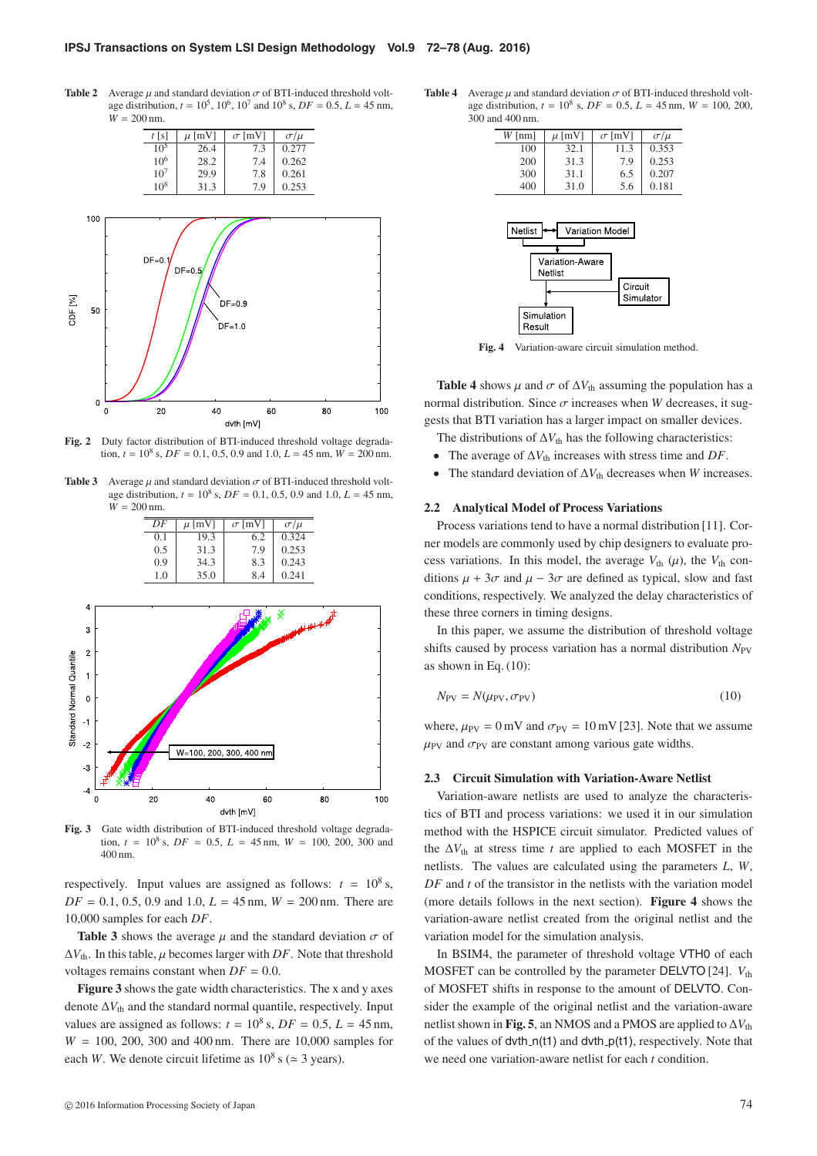**Table 2** Average  $\mu$  and standard deviation  $\sigma$  of BTI-induced threshold voltage distribution,  $t = 10^5$ ,  $10^6$ ,  $10^7$  and  $10^8$  s,  $DF = 0.5$ ,  $L = 45$  nm,  $W = 200 \text{ nm}$ .



**Fig. 2** Duty factor distribution of BTI-induced threshold voltage degradation,  $t = 10^8$  s,  $DF = 0.1$ , 0.5, 0.9 and 1.0,  $L = 45$  nm,  $W = 200$  nm.

**Table 3** Average  $\mu$  and standard deviation  $\sigma$  of BTI-induced threshold voltage distribution, *t* = 108 s, *DF* = 0.1, 0.5, 0.9 and 1.0, *L* = 45 nm,  $W = 200 \text{ nm}$ 

|                          |                |   | $\overline{DF}$ | $\mu$ [mV] | $\sigma$ [mV]           | $\sigma/\mu$ |    |     |
|--------------------------|----------------|---|-----------------|------------|-------------------------|--------------|----|-----|
|                          |                |   | 0.1             | 19.3       | 6.2                     | 0.324        |    |     |
|                          |                |   | 0.5             | 31.3       | 7.9                     | 0.253        |    |     |
|                          |                |   | 0.9             | 34.3       | 8.3                     | 0.243        |    |     |
|                          |                |   | 1.0             | 35.0       | 8.4                     | 0.241        |    |     |
|                          |                |   |                 |            |                         |              |    |     |
|                          | 4              |   |                 |            |                         |              |    |     |
|                          |                |   |                 |            |                         | ∢            |    |     |
|                          | 3              |   |                 |            |                         |              |    |     |
|                          |                |   |                 |            |                         |              |    |     |
|                          | $\overline{c}$ |   |                 |            |                         |              |    |     |
|                          | 1              |   |                 |            |                         |              |    |     |
|                          |                |   |                 |            |                         |              |    |     |
| Standard Normal Quantile | $\mathbf 0$    |   |                 |            |                         |              |    |     |
|                          |                |   |                 |            |                         |              |    |     |
|                          | $-1$           |   |                 |            |                         |              |    |     |
|                          |                |   |                 |            |                         |              |    |     |
|                          | $-2$           |   |                 |            | W=100, 200, 300, 400 nm |              |    |     |
|                          | $-3$           |   |                 |            |                         |              |    |     |
|                          |                |   |                 |            |                         |              |    |     |
|                          | $-4$           |   |                 |            |                         |              |    |     |
|                          |                | O | 20              | 40         | 60                      |              | 80 | 100 |

**Fig. 3** Gate width distribution of BTI-induced threshold voltage degradation,  $t = 10^8$  s,  $DF = 0.5$ ,  $L = 45$  nm,  $W = 100$ , 200, 300 and 400 nm.

dyth [mV]

respectively. Input values are assigned as follows:  $t = 10^8$  s,  $DF = 0.1, 0.5, 0.9$  and 1.0,  $L = 45$  nm,  $W = 200$  nm. There are 10,000 samples for each *DF*.

**Table 3** shows the average  $\mu$  and the standard deviation  $\sigma$  of  $\Delta V_{\text{th}}$ . In this table,  $\mu$  becomes larger with *DF*. Note that threshold voltages remains constant when  $DF = 0.0$ .

**Figure 3** shows the gate width characteristics. The x and y axes denote  $\Delta V_{\text{th}}$  and the standard normal quantile, respectively. Input values are assigned as follows:  $t = 10^8$  s,  $DF = 0.5$ ,  $L = 45$  nm, *W* = 100, 200, 300 and 400 nm. There are 10,000 samples for each *W*. We denote circuit lifetime as  $10^8$  s ( $\simeq$  3 years).

**Table 4** Average  $\mu$  and standard deviation  $\sigma$  of BTI-induced threshold voltage distribution,  $t = 10^8$  s,  $DF = 0.5$ ,  $L = 45$  nm,  $W = 100$ , 200, 300 and 400 nm.

| $W$ [nm] | $\mu$ [mV] | $\sigma$ [mV] | $\sigma/\mu$ |
|----------|------------|---------------|--------------|
| 100      | 32.1       | 11.3          | 0.353        |
| 200      | 31.3       | 79            | 0.253        |
| 300      | 31.1       | 6.5           | 0.207        |
| 400      | 31.0       | 5.6           | 0.181        |
|          |            |               |              |



**Fig. 4** Variation-aware circuit simulation method.

**Table 4** shows  $\mu$  and  $\sigma$  of  $\Delta V_{th}$  assuming the population has a normal distribution. Since  $\sigma$  increases when *W* decreases, it suggests that BTI variation has a larger impact on smaller devices.

- The distributions of  $\Delta V_{\text{th}}$  has the following characteristics:
- The average of  $\Delta V_{th}$  increases with stress time and *DF*.
- The standard deviation of  $\Delta V_{th}$  decreases when *W* increases.

### **2.2 Analytical Model of Process Variations**

Process variations tend to have a normal distribution [11]. Corner models are commonly used by chip designers to evaluate process variations. In this model, the average  $V_{th}(\mu)$ , the  $V_{th}$  conditions  $\mu + 3\sigma$  and  $\mu - 3\sigma$  are defined as typical, slow and fast conditions, respectively. We analyzed the delay characteristics of these three corners in timing designs.

In this paper, we assume the distribution of threshold voltage shifts caused by process variation has a normal distribution  $N_{PV}$ as shown in Eq. (10):

$$
N_{\rm PV} = N(\mu_{\rm PV}, \sigma_{\rm PV})\tag{10}
$$

where,  $\mu_{PV} = 0$  mV and  $\sigma_{PV} = 10$  mV [23]. Note that we assume  $\mu_{\text{PV}}$  and  $\sigma_{\text{PV}}$  are constant among various gate widths.

### **2.3 Circuit Simulation with Variation-Aware Netlist**

Variation-aware netlists are used to analyze the characteristics of BTI and process variations: we used it in our simulation method with the HSPICE circuit simulator. Predicted values of the  $\Delta V_{\text{th}}$  at stress time *t* are applied to each MOSFET in the netlists. The values are calculated using the parameters *L*, *W*, *DF* and *t* of the transistor in the netlists with the variation model (more details follows in the next section). **Figure 4** shows the variation-aware netlist created from the original netlist and the variation model for the simulation analysis.

In BSIM4, the parameter of threshold voltage VTH0 of each MOSFET can be controlled by the parameter DELVTO [24].  $V_{th}$ of MOSFET shifts in response to the amount of DELVTO. Consider the example of the original netlist and the variation-aware netlist shown in **Fig. 5**, an NMOS and a PMOS are applied to  $\Delta V_{th}$ of the values of  $dvth_n(t1)$  and  $dvth_p(t1)$ , respectively. Note that we need one variation-aware netlist for each *t* condition.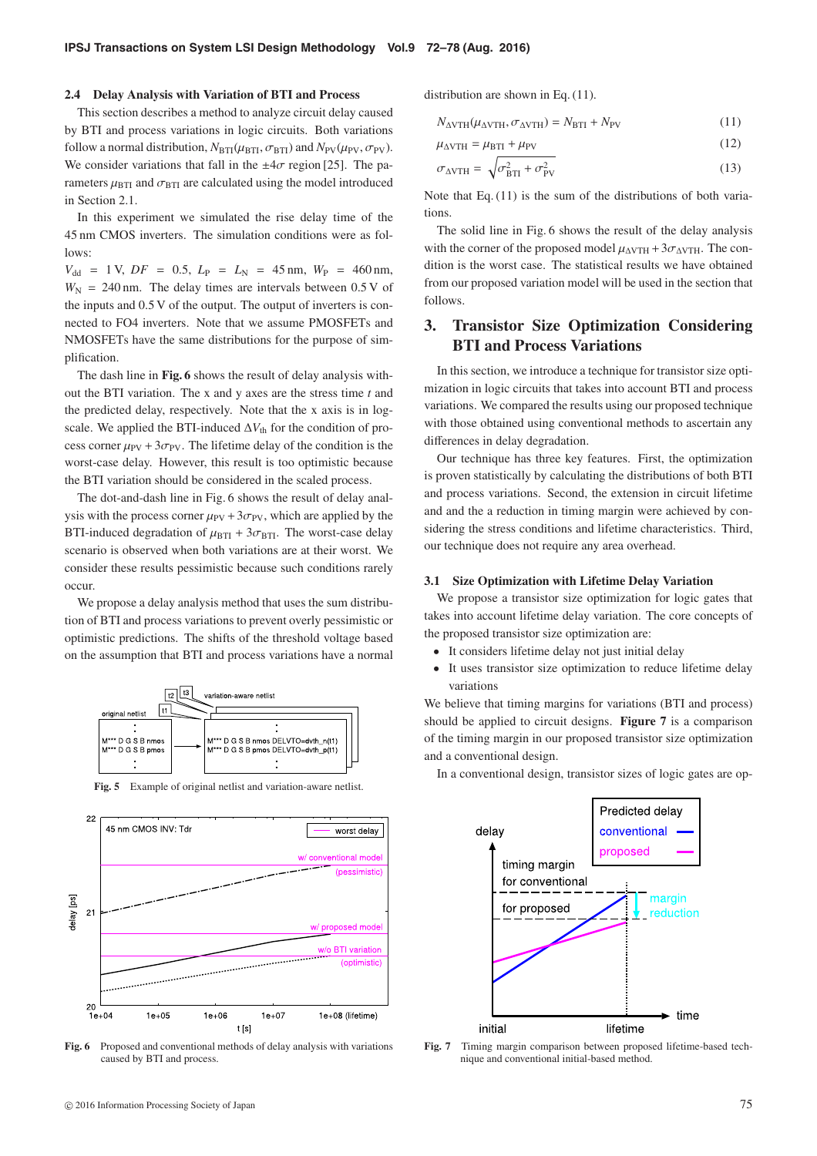#### **2.4 Delay Analysis with Variation of BTI and Process**

This section describes a method to analyze circuit delay caused by BTI and process variations in logic circuits. Both variations follow a normal distribution,  $N_{\text{BTI}}(\mu_{\text{BTI}}, \sigma_{\text{BTI}})$  and  $N_{\text{PV}}(\mu_{\text{PV}}, \sigma_{\text{PV}})$ . We consider variations that fall in the  $\pm 4\sigma$  region [25]. The parameters  $\mu_{\text{BTI}}$  and  $\sigma_{\text{BTI}}$  are calculated using the model introduced in Section 2.1.

In this experiment we simulated the rise delay time of the 45 nm CMOS inverters. The simulation conditions were as fol- $1$ ows:

 $V_{dd}$  = 1 V, *DF* = 0.5,  $L_{P}$  =  $L_{N}$  = 45 nm,  $W_{P}$  = 460 nm,  $W_N$  = 240 nm. The delay times are intervals between  $0.5 V$  of the inputs and 0.5 V of the output. The output of inverters is connected to FO4 inverters. Note that we assume PMOSFETs and NMOSFETs have the same distributions for the purpose of simplification.

The dash line in **Fig. 6** shows the result of delay analysis without the BTI variation. The x and y axes are the stress time *t* and the predicted delay, respectively. Note that the x axis is in logscale. We applied the BTI-induced  $\Delta V_{\text{th}}$  for the condition of process corner  $\mu_{PV}$  + 3 $\sigma_{PV}$ . The lifetime delay of the condition is the worst-case delay. However, this result is too optimistic because the BTI variation should be considered in the scaled process.

The dot-and-dash line in Fig. 6 shows the result of delay analysis with the process corner  $\mu_{PV} + 3\sigma_{PV}$ , which are applied by the BTI-induced degradation of  $\mu_{\text{BTI}} + 3\sigma_{\text{BTI}}$ . The worst-case delay scenario is observed when both variations are at their worst. We consider these results pessimistic because such conditions rarely occur.

We propose a delay analysis method that uses the sum distribution of BTI and process variations to prevent overly pessimistic or optimistic predictions. The shifts of the threshold voltage based on the assumption that BTI and process variations have a normal



**Fig. 5** Example of original netlist and variation-aware netlist.



**Fig. 6** Proposed and conventional methods of delay analysis with variations caused by BTI and process.

distribution are shown in Eq. (11).

$$
N_{\Delta VTH}(\mu_{\Delta VTH}, \sigma_{\Delta VTH}) = N_{\text{BTI}} + N_{\text{PV}} \tag{11}
$$

$$
\mu_{\Delta VTH} = \mu_{\text{BTI}} + \mu_{\text{PV}} \tag{12}
$$

$$
\sigma_{\Delta VTH} = \sqrt{\sigma_{\rm BT}^2 + \sigma_{\rm PV}^2} \tag{13}
$$

Note that Eq. (11) is the sum of the distributions of both variations.

The solid line in Fig. 6 shows the result of the delay analysis with the corner of the proposed model  $\mu_{\text{AVTH}} + 3\sigma_{\text{AVTH}}$ . The condition is the worst case. The statistical results we have obtained from our proposed variation model will be used in the section that follows.

# **3. Transistor Size Optimization Considering BTI and Process Variations**

In this section, we introduce a technique for transistor size optimization in logic circuits that takes into account BTI and process variations. We compared the results using our proposed technique with those obtained using conventional methods to ascertain any differences in delay degradation.

Our technique has three key features. First, the optimization is proven statistically by calculating the distributions of both BTI and process variations. Second, the extension in circuit lifetime and and the a reduction in timing margin were achieved by considering the stress conditions and lifetime characteristics. Third, our technique does not require any area overhead.

#### **3.1 Size Optimization with Lifetime Delay Variation**

We propose a transistor size optimization for logic gates that takes into account lifetime delay variation. The core concepts of the proposed transistor size optimization are:

- It considers lifetime delay not just initial delay
- It uses transistor size optimization to reduce lifetime delay variations

We believe that timing margins for variations (BTI and process) should be applied to circuit designs. **Figure 7** is a comparison of the timing margin in our proposed transistor size optimization and a conventional design.

In a conventional design, transistor sizes of logic gates are op-



**Fig. 7** Timing margin comparison between proposed lifetime-based technique and conventional initial-based method.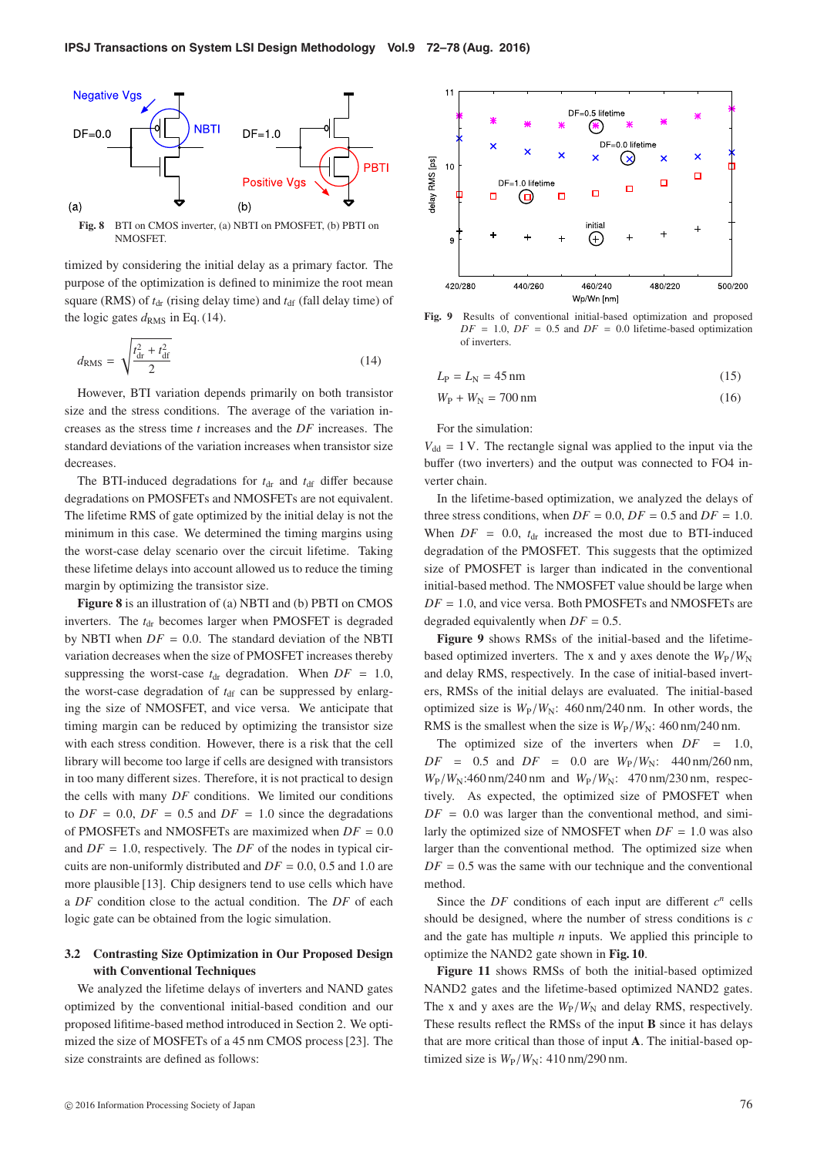

**Fig. 8** BTI on CMOS inverter, (a) NBTI on PMOSFET, (b) PBTI on NMOSFET.

timized by considering the initial delay as a primary factor. The purpose of the optimization is defined to minimize the root mean square (RMS) of  $t_{dr}$  (rising delay time) and  $t_{dr}$  (fall delay time) of the logic gates  $d_{\text{RMS}}$  in Eq. (14).

$$
d_{\rm RMS} = \sqrt{\frac{t_{\rm dr}^2 + t_{\rm df}^2}{2}} \tag{14}
$$

However, BTI variation depends primarily on both transistor size and the stress conditions. The average of the variation increases as the stress time *t* increases and the *DF* increases. The standard deviations of the variation increases when transistor size decreases.

The BTI-induced degradations for  $t<sub>dr</sub>$  and  $t<sub>df</sub>$  differ because degradations on PMOSFETs and NMOSFETs are not equivalent. The lifetime RMS of gate optimized by the initial delay is not the minimum in this case. We determined the timing margins using the worst-case delay scenario over the circuit lifetime. Taking these lifetime delays into account allowed us to reduce the timing margin by optimizing the transistor size.

**Figure 8** is an illustration of (a) NBTI and (b) PBTI on CMOS inverters. The *t*<sub>dr</sub> becomes larger when PMOSFET is degraded by NBTI when  $DF = 0.0$ . The standard deviation of the NBTI variation decreases when the size of PMOSFET increases thereby suppressing the worst-case  $t_{dr}$  degradation. When  $DF = 1.0$ , the worst-case degradation of  $t_{df}$  can be suppressed by enlarging the size of NMOSFET, and vice versa. We anticipate that timing margin can be reduced by optimizing the transistor size with each stress condition. However, there is a risk that the cell library will become too large if cells are designed with transistors in too many different sizes. Therefore, it is not practical to design the cells with many *DF* conditions. We limited our conditions to  $DF = 0.0$ ,  $DF = 0.5$  and  $DF = 1.0$  since the degradations of PMOSFETs and NMOSFETs are maximized when  $DF = 0.0$ and  $DF = 1.0$ , respectively. The *DF* of the nodes in typical circuits are non-uniformly distributed and *DF* = 0.0, 0.5 and 1.0 are more plausible [13]. Chip designers tend to use cells which have a *DF* condition close to the actual condition. The *DF* of each logic gate can be obtained from the logic simulation.

### **3.2 Contrasting Size Optimization in Our Proposed Design with Conventional Techniques**

We analyzed the lifetime delays of inverters and NAND gates optimized by the conventional initial-based condition and our proposed lifitime-based method introduced in Section 2. We optimized the size of MOSFETs of a 45 nm CMOS process [23]. The size constraints are defined as follows:



**Fig. 9** Results of conventional initial-based optimization and proposed  $DF = 1.0$ ,  $DF = 0.5$  and  $DF = 0.0$  lifetime-based optimization of inverters.

$$
L_{\rm P} = L_{\rm N} = 45 \,\mathrm{nm} \tag{15}
$$

$$
W_{\rm P} + W_{\rm N} = 700 \,\mathrm{nm} \tag{16}
$$

For the simulation:

 $V_{dd} = 1$  V. The rectangle signal was applied to the input via the buffer (two inverters) and the output was connected to FO4 inverter chain.

In the lifetime-based optimization, we analyzed the delays of three stress conditions, when  $DF = 0.0$ ,  $DF = 0.5$  and  $DF = 1.0$ . When  $DF = 0.0$ ,  $t<sub>dr</sub>$  increased the most due to BTI-induced degradation of the PMOSFET. This suggests that the optimized size of PMOSFET is larger than indicated in the conventional initial-based method. The NMOSFET value should be large when *DF* = 1.0, and vice versa. Both PMOSFETs and NMOSFETs are degraded equivalently when  $DF = 0.5$ .

**Figure 9** shows RMSs of the initial-based and the lifetimebased optimized inverters. The x and y axes denote the  $W_{\rm P}/W_{\rm N}$ and delay RMS, respectively. In the case of initial-based inverters, RMSs of the initial delays are evaluated. The initial-based optimized size is  $W_P/W_N$ : 460 nm/240 nm. In other words, the RMS is the smallest when the size is  $W_P/W_N$ : 460 nm/240 nm.

The optimized size of the inverters when *DF* = 1.0,  $DF = 0.5$  and  $DF = 0.0$  are  $W_P/W_N$ : 440 nm/260 nm, *W*<sub>P</sub>/*W*<sub>N</sub>:460 nm/240 nm and *W*<sub>P</sub>/*W*<sub>N</sub>: 470 nm/230 nm, respectively. As expected, the optimized size of PMOSFET when  $DF = 0.0$  was larger than the conventional method, and similarly the optimized size of NMOSFET when  $DF = 1.0$  was also larger than the conventional method. The optimized size when  $DF = 0.5$  was the same with our technique and the conventional method.

Since the *DF* conditions of each input are different  $c^n$  cells should be designed, where the number of stress conditions is *c* and the gate has multiple *n* inputs. We applied this principle to optimize the NAND2 gate shown in **Fig. 10**.

**Figure 11** shows RMSs of both the initial-based optimized NAND2 gates and the lifetime-based optimized NAND2 gates. The x and y axes are the  $W_P/W_N$  and delay RMS, respectively. These results reflect the RMSs of the input **B** since it has delays that are more critical than those of input **A**. The initial-based optimized size is  $W_P/W_N$ : 410 nm/290 nm.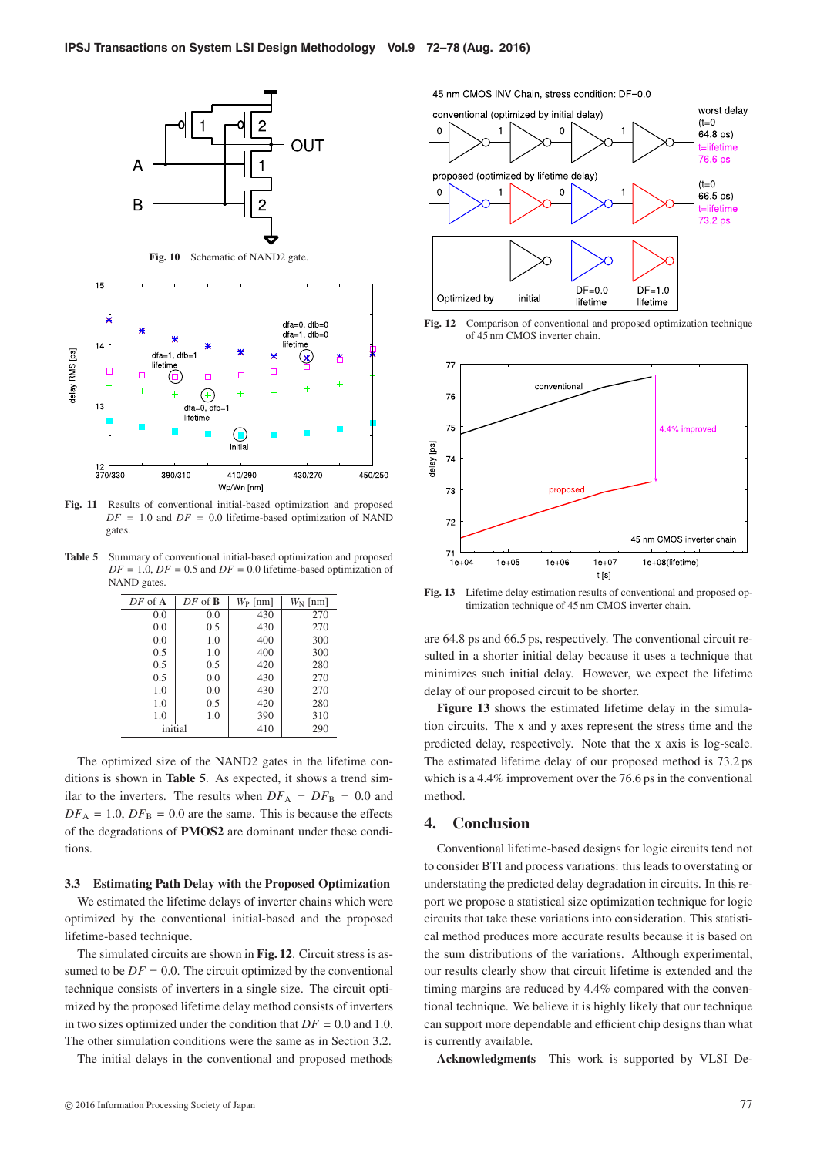



**Fig. 11** Results of conventional initial-based optimization and proposed  $DF = 1.0$  and  $DF = 0.0$  lifetime-based optimization of NAND gates.

**Table 5** Summary of conventional initial-based optimization and proposed  $DF = 1.0$ ,  $DF = 0.5$  and  $DF = 0.0$  lifetime-based optimization of NAND gates.

| $DF$ of $A$ | $DF$ of $B$ | $W_{\rm P}$ [nm] | $W_N$ [nm] |
|-------------|-------------|------------------|------------|
| 0.0         | 0.0         | 430              | 270        |
| 0.0         | 0.5         | 430              | 270        |
| 0.0         | 1.0         | 400              | 300        |
| 0.5         | 1.0         | 400              | 300        |
| 0.5         | 0.5         | 420              | 280        |
| 0.5         | 0.0         | 430              | 270        |
| 1.0         | 0.0         | 430              | 270        |
| 1.0         | 0.5         | 420              | 280        |
| 1.0         | 1.0         | 390              | 310        |
| initial     |             | 410              | 290        |

The optimized size of the NAND2 gates in the lifetime conditions is shown in **Table 5**. As expected, it shows a trend similar to the inverters. The results when  $DF_A = DF_B = 0.0$  and  $DF_A = 1.0$ ,  $DF_B = 0.0$  are the same. This is because the effects of the degradations of **PMOS2** are dominant under these conditions.

### **3.3 Estimating Path Delay with the Proposed Optimization**

We estimated the lifetime delays of inverter chains which were optimized by the conventional initial-based and the proposed lifetime-based technique.

The simulated circuits are shown in **Fig. 12**. Circuit stress is assumed to be  $DF = 0.0$ . The circuit optimized by the conventional technique consists of inverters in a single size. The circuit optimized by the proposed lifetime delay method consists of inverters in two sizes optimized under the condition that  $DF = 0.0$  and 1.0. The other simulation conditions were the same as in Section 3.2.

The initial delays in the conventional and proposed methods





**Fig. 12** Comparison of conventional and proposed optimization technique of 45 nm CMOS inverter chain.



**Fig. 13** Lifetime delay estimation results of conventional and proposed optimization technique of 45 nm CMOS inverter chain.

are 64.8 ps and 66.5 ps, respectively. The conventional circuit resulted in a shorter initial delay because it uses a technique that minimizes such initial delay. However, we expect the lifetime delay of our proposed circuit to be shorter.

Figure 13 shows the estimated lifetime delay in the simulation circuits. The x and y axes represent the stress time and the predicted delay, respectively. Note that the x axis is log-scale. The estimated lifetime delay of our proposed method is 73.2 ps which is a 4.4% improvement over the 76.6 ps in the conventional method.

### **4. Conclusion**

Conventional lifetime-based designs for logic circuits tend not to consider BTI and process variations: this leads to overstating or understating the predicted delay degradation in circuits. In this report we propose a statistical size optimization technique for logic circuits that take these variations into consideration. This statistical method produces more accurate results because it is based on the sum distributions of the variations. Although experimental, our results clearly show that circuit lifetime is extended and the timing margins are reduced by 4.4% compared with the conventional technique. We believe it is highly likely that our technique can support more dependable and efficient chip designs than what is currently available.

**Acknowledgments** This work is supported by VLSI De-